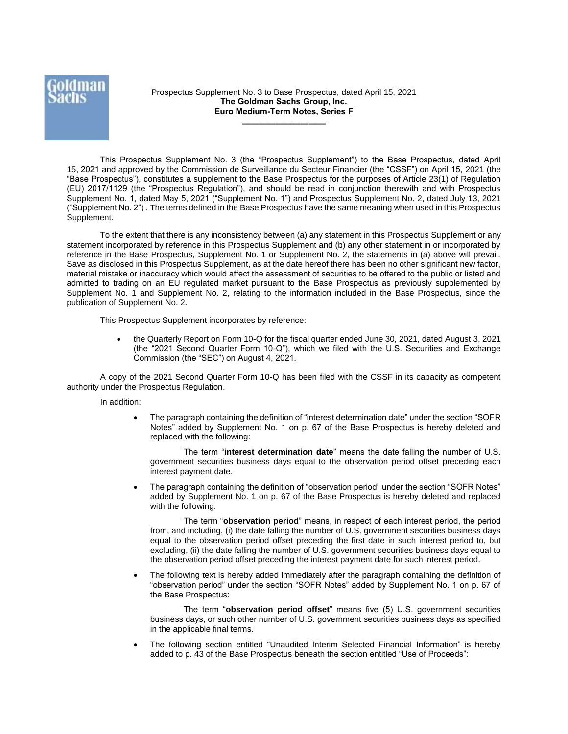Prospectus Supplement No. 3 to Base Prospectus, dated April 15, 2021 **The Goldman Sachs Group, Inc. Euro Medium-Term Notes, Series F**

**——————————**

This Prospectus Supplement No. 3 (the "Prospectus Supplement") to the Base Prospectus, dated April 15, 2021 and approved by the Commission de Surveillance du Secteur Financier (the "CSSF") on April 15, 2021 (the "Base Prospectus"), constitutes a supplement to the Base Prospectus for the purposes of Article 23(1) of Regulation (EU) 2017/1129 (the "Prospectus Regulation"), and should be read in conjunction therewith and with Prospectus Supplement No. 1, dated May 5, 2021 ("Supplement No. 1") and Prospectus Supplement No. 2, dated July 13, 2021 ("Supplement No. 2") . The terms defined in the Base Prospectus have the same meaning when used in this Prospectus Supplement.

To the extent that there is any inconsistency between (a) any statement in this Prospectus Supplement or any statement incorporated by reference in this Prospectus Supplement and (b) any other statement in or incorporated by reference in the Base Prospectus, Supplement No. 1 or Supplement No. 2, the statements in (a) above will prevail. Save as disclosed in this Prospectus Supplement, as at the date hereof there has been no other significant new factor, material mistake or inaccuracy which would affect the assessment of securities to be offered to the public or listed and admitted to trading on an EU regulated market pursuant to the Base Prospectus as previously supplemented by Supplement No. 1 and Supplement No. 2, relating to the information included in the Base Prospectus, since the publication of Supplement No. 2.

This Prospectus Supplement incorporates by reference:

• the Quarterly Report on Form 10-Q for the fiscal quarter ended June 30, 2021, dated August 3, 2021 (the "2021 Second Quarter Form 10-Q"), which we filed with the U.S. Securities and Exchange Commission (the "SEC") on August 4, 2021.

A copy of the 2021 Second Quarter Form 10-Q has been filed with the CSSF in its capacity as competent authority under the Prospectus Regulation.

In addition:

 The paragraph containing the definition of "interest determination date" under the section "SOFR Notes" added by Supplement No. 1 on p. 67 of the Base Prospectus is hereby deleted and replaced with the following:

The term "**interest determination date**" means the date falling the number of U.S. government securities business days equal to the observation period offset preceding each interest payment date.

 The paragraph containing the definition of "observation period" under the section "SOFR Notes" added by Supplement No. 1 on p. 67 of the Base Prospectus is hereby deleted and replaced with the following:

The term "**observation period**" means, in respect of each interest period, the period from, and including, (i) the date falling the number of U.S. government securities business days equal to the observation period offset preceding the first date in such interest period to, but excluding, (ii) the date falling the number of U.S. government securities business days equal to the observation period offset preceding the interest payment date for such interest period.

 The following text is hereby added immediately after the paragraph containing the definition of "observation period" under the section "SOFR Notes" added by Supplement No. 1 on p. 67 of the Base Prospectus:

The term "**observation period offset**" means five (5) U.S. government securities business days, or such other number of U.S. government securities business days as specified in the applicable final terms.

 The following section entitled "Unaudited Interim Selected Financial Information" is hereby added to p. 43 of the Base Prospectus beneath the section entitled "Use of Proceeds":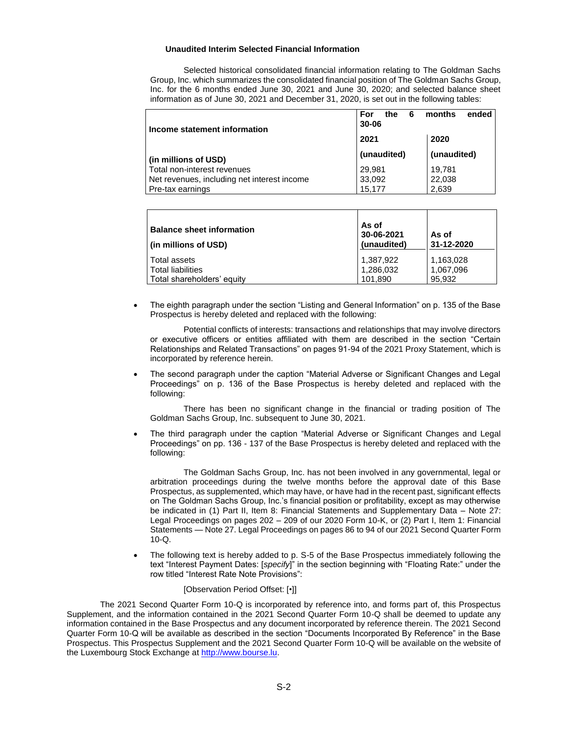## **Unaudited Interim Selected Financial Information**

Selected historical consolidated financial information relating to The Goldman Sachs Group, Inc. which summarizes the consolidated financial position of The Goldman Sachs Group, Inc. for the 6 months ended June 30, 2021 and June 30, 2020; and selected balance sheet information as of June 30, 2021 and December 31, 2020, is set out in the following tables:

| Income statement information                | For<br>ended<br>months<br>the<br>6<br>$30 - 06$ |             |
|---------------------------------------------|-------------------------------------------------|-------------|
|                                             | 2021                                            | 2020        |
| (in millions of USD)                        | (unaudited)                                     | (unaudited) |
| Total non-interest revenues                 | 29,981                                          | 19,781      |
| Net revenues, including net interest income | 33,092                                          | 22,038      |
| Pre-tax earnings                            | 15.177                                          | 2,639       |

| <b>Balance sheet information</b><br>  (in millions of USD) | As of<br>30-06-2021<br>(unaudited) | As of<br>31-12-2020    |
|------------------------------------------------------------|------------------------------------|------------------------|
| Total assets<br>Total liabilities                          | 1,387,922<br>1,286,032             | 1,163,028<br>1,067,096 |
| Total shareholders' equity                                 | 101.890                            | 95,932                 |

 The eighth paragraph under the section "Listing and General Information" on p. 135 of the Base Prospectus is hereby deleted and replaced with the following:

Potential conflicts of interests: transactions and relationships that may involve directors or executive officers or entities affiliated with them are described in the section "Certain Relationships and Related Transactions" on pages 91-94 of the 2021 Proxy Statement, which is incorporated by reference herein.

 The second paragraph under the caption "Material Adverse or Significant Changes and Legal Proceedings" on p. 136 of the Base Prospectus is hereby deleted and replaced with the following:

There has been no significant change in the financial or trading position of The Goldman Sachs Group, Inc. subsequent to June 30, 2021.

 The third paragraph under the caption "Material Adverse or Significant Changes and Legal Proceedings" on pp. 136 - 137 of the Base Prospectus is hereby deleted and replaced with the following:

The Goldman Sachs Group, Inc. has not been involved in any governmental, legal or arbitration proceedings during the twelve months before the approval date of this Base Prospectus, as supplemented, which may have, or have had in the recent past, significant effects on The Goldman Sachs Group, Inc.'s financial position or profitability, except as may otherwise be indicated in (1) Part II, Item 8: Financial Statements and Supplementary Data – Note 27: Legal Proceedings on pages 202 – 209 of our 2020 Form 10-K, or (2) Part I, Item 1: Financial Statements — Note 27. Legal Proceedings on pages 86 to 94 of our 2021 Second Quarter Form 10-Q.

 The following text is hereby added to p. S-5 of the Base Prospectus immediately following the text "Interest Payment Dates: [*specify*]" in the section beginning with "Floating Rate:" under the row titled "Interest Rate Note Provisions":

## [Observation Period Offset: [•]]

The 2021 Second Quarter Form 10-Q is incorporated by reference into, and forms part of, this Prospectus Supplement, and the information contained in the 2021 Second Quarter Form 10-Q shall be deemed to update any information contained in the Base Prospectus and any document incorporated by reference therein. The 2021 Second Quarter Form 10-Q will be available as described in the section "Documents Incorporated By Reference" in the Base Prospectus. This Prospectus Supplement and the 2021 Second Quarter Form 10-Q will be available on the website of the Luxembourg Stock Exchange at [http://www.bourse.lu.](http://www.bourse.lu/)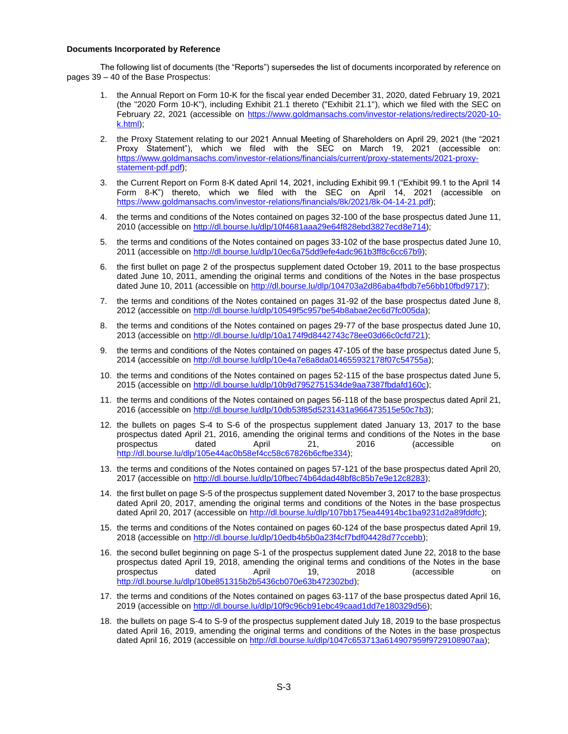## **Documents Incorporated by Reference**

The following list of documents (the "Reports") supersedes the list of documents incorporated by reference on pages 39 – 40 of the Base Prospectus:

- 1. the Annual Report on Form 10-K for the fiscal year ended December 31, 2020, dated February 19, 2021 (the "2020 Form 10-K"), including Exhibit 21.1 thereto ("Exhibit 21.1"), which we filed with the SEC on February 22, 2021 (accessible on [https://www.goldmansachs.com/investor-relations/redirects/2020-10](https://www.goldmansachs.com/investor-relations/redirects/2020-10-k.html) [k.html\)](https://www.goldmansachs.com/investor-relations/redirects/2020-10-k.html);
- 2. the Proxy Statement relating to our 2021 Annual Meeting of Shareholders on April 29, 2021 (the "2021 Proxy Statement"), which we filed with the SEC on March 19, 2021 (accessible on: [https://www.goldmansachs.com/investor-relations/financials/current/proxy-statements/2021-proxy](https://www.goldmansachs.com/investor-relations/financials/current/proxy-statements/2021-proxy-statement-pdf.pdf)[statement-pdf.pdf\)](https://www.goldmansachs.com/investor-relations/financials/current/proxy-statements/2021-proxy-statement-pdf.pdf);
- 3. the Current Report on Form 8-K dated April 14, 2021, including Exhibit 99.1 ("Exhibit 99.1 to the April 14 Form 8-K") thereto, which we filed with the SEC on April 14, 2021 (accessible on [https://www.goldmansachs.com/investor-relations/financials/8k/2021/8k-04-14-21.pdf\)](https://www.goldmansachs.com/investor-relations/financials/8k/2021/8k-04-14-21.pdf);
- 4. the terms and conditions of the Notes contained on pages 32-100 of the base prospectus dated June 11, 2010 (accessible o[n http://dl.bourse.lu/dlp/10f4681aaa29e64f828ebd3827ecd8e714\)](http://dl.bourse.lu/dlp/10f4681aaa29e64f828ebd3827ecd8e714);
- 5. the terms and conditions of the Notes contained on pages 33-102 of the base prospectus dated June 10, 2011 (accessible o[n http://dl.bourse.lu/dlp/10ec6a75dd9efe4adc961b3ff8c6cc67b9\)](http://dl.bourse.lu/dlp/10ec6a75dd9efe4adc961b3ff8c6cc67b9);
- 6. the first bullet on page 2 of the prospectus supplement dated October 19, 2011 to the base prospectus dated June 10, 2011, amending the original terms and conditions of the Notes in the base prospectus dated June 10, 2011 (accessible o[n http://dl.bourse.lu/dlp/104703a2d86aba4fbdb7e56bb10fbd9717\)](https://urldefense.com/v3/__http:/dl.bourse.lu/dlp/104703a2d86aba4fbdb7e56bb10fbd9717__;!!ARePqKBowW4!mq31IR1h_U6NM3-zUOOkee0GjPBAq5mPVlRKMGCupkLKe4i0cZSxP_21exft3L_S$);
- 7. the terms and conditions of the Notes contained on pages 31-92 of the base prospectus dated June 8, 2012 (accessible o[n http://dl.bourse.lu/dlp/10549f5c957be54b8abae2ec6d7fc005da\)](http://dl.bourse.lu/dlp/10549f5c957be54b8abae2ec6d7fc005da);
- 8. the terms and conditions of the Notes contained on pages 29-77 of the base prospectus dated June 10, 2013 (accessible o[n http://dl.bourse.lu/dlp/10a174f9d8442743c78ee03d66c0cfd721\)](http://dl.bourse.lu/dlp/10a174f9d8442743c78ee03d66c0cfd721);
- 9. the terms and conditions of the Notes contained on pages 47-105 of the base prospectus dated June 5, 2014 (accessible o[n http://dl.bourse.lu/dlp/10e4a7e8a8da014655932178f07c54755a\)](http://dl.bourse.lu/dlp/10e4a7e8a8da014655932178f07c54755a);
- 10. the terms and conditions of the Notes contained on pages 52-115 of the base prospectus dated June 5, 2015 (accessible o[n http://dl.bourse.lu/dlp/10b9d7952751534de9aa7387fbdafd160c\)](http://dl.bourse.lu/dlp/10b9d7952751534de9aa7387fbdafd160c);
- 11. the terms and conditions of the Notes contained on pages 56-118 of the base prospectus dated April 21, 2016 (accessible o[n http://dl.bourse.lu/dlp/10db53f85d5231431a966473515e50c7b3\)](http://dl.bourse.lu/dlp/10db53f85d5231431a966473515e50c7b3);
- 12. the bullets on pages S-4 to S-6 of the prospectus supplement dated January 13, 2017 to the base prospectus dated April 21, 2016, amending the original terms and conditions of the Notes in the base prospectus dated April 21, 2016 (accessible on [http://dl.bourse.lu/dlp/105e44ac0b58ef4cc58c67826b6cfbe334\)](http://dl.bourse.lu/dlp/105e44ac0b58ef4cc58c67826b6cfbe334);
- 13. the terms and conditions of the Notes contained on pages 57-121 of the base prospectus dated April 20, 2017 (accessible o[n http://dl.bourse.lu/dlp/10fbec74b64dad48bf8c85b7e9e12c8283\)](http://dl.bourse.lu/dlp/10fbec74b64dad48bf8c85b7e9e12c8283);
- 14. the first bullet on page S-5 of the prospectus supplement dated November 3, 2017 to the base prospectus dated April 20, 2017, amending the original terms and conditions of the Notes in the base prospectus dated April 20, 2017 (accessible on [http://dl.bourse.lu/dlp/107bb175ea44914bc1ba9231d2a89fddfc\)](http://dl.bourse.lu/dlp/107bb175ea44914bc1ba9231d2a89fddfc);
- 15. the terms and conditions of the Notes contained on pages 60-124 of the base prospectus dated April 19, 2018 (accessible o[n http://dl.bourse.lu/dlp/10edb4b5b0a23f4cf7bdf04428d77ccebb\)](http://dl.bourse.lu/dlp/10edb4b5b0a23f4cf7bdf04428d77ccebb);
- 16. the second bullet beginning on page S-1 of the prospectus supplement dated June 22, 2018 to the base prospectus dated April 19, 2018, amending the original terms and conditions of the Notes in the base prospectus dated April 19, 2018 (accessible on [http://dl.bourse.lu/dlp/10be851315b2b5436cb070e63b472302bd\)](http://dl.bourse.lu/dlp/10be851315b2b5436cb070e63b472302bd);
- 17. the terms and conditions of the Notes contained on pages 63-117 of the base prospectus dated April 16, 2019 (accessible o[n http://dl.bourse.lu/dlp/10f9c96cb91ebc49caad1dd7e180329d56\)](http://dl.bourse.lu/dlp/10f9c96cb91ebc49caad1dd7e180329d56);
- 18. the bullets on page S-4 to S-9 of the prospectus supplement dated July 18, 2019 to the base prospectus dated April 16, 2019, amending the original terms and conditions of the Notes in the base prospectus dated April 16, 2019 (accessible on [http://dl.bourse.lu/dlp/1047c653713a614907959f9729108907aa\)](http://dl.bourse.lu/dlp/1047c653713a614907959f9729108907aa);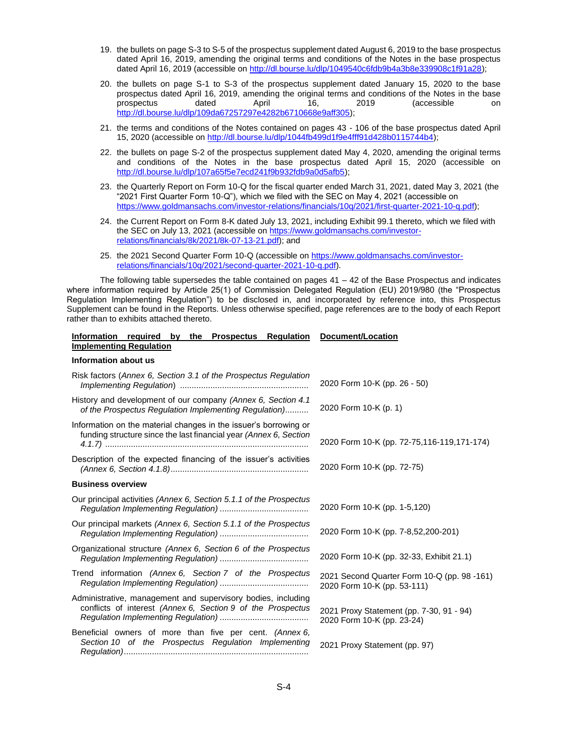- 19. the bullets on page S-3 to S-5 of the prospectus supplement dated August 6, 2019 to the base prospectus dated April 16, 2019, amending the original terms and conditions of the Notes in the base prospectus dated April 16, 2019 (accessible on [http://dl.bourse.lu/dlp/1049540c6fdb9b4a3b8e339908c1f91a28\)](http://dl.bourse.lu/dlp/1049540c6fdb9b4a3b8e339908c1f91a28);
- 20. the bullets on page S-1 to S-3 of the prospectus supplement dated January 15, 2020 to the base prospectus dated April 16, 2019, amending the original terms and conditions of the Notes in the base prospectus dated April 16, 2019 (accessible on [http://dl.bourse.lu/dlp/109da67257297e4282b6710668e9aff305\)](http://dl.bourse.lu/dlp/109da67257297e4282b6710668e9aff305);
- 21. the terms and conditions of the Notes contained on pages 43 106 of the base prospectus dated April 15, 2020 (accessible o[n http://dl.bourse.lu/dlp/1044fb499d1f9e4fff91d428b0115744b4\)](http://dl.bourse.lu/dlp/1044fb499d1f9e4fff91d428b0115744b4);
- 22. the bullets on page S-2 of the prospectus supplement dated May 4, 2020, amending the original terms and conditions of the Notes in the base prospectus dated April 15, 2020 (accessible on [http://dl.bourse.lu/dlp/107a65f5e7ecd241f9b932fdb9a0d5afb5\)](http://dl.bourse.lu/dlp/107a65f5e7ecd241f9b932fdb9a0d5afb5);
- 23. the Quarterly Report on Form 10-Q for the fiscal quarter ended March 31, 2021, dated May 3, 2021 (the "2021 First Quarter Form 10-Q"), which we filed with the SEC on May 4, 2021 (accessible on https://www.goldmansachs.com/investor-relations/financials/10g/2021/first-quarter-2021-10-g.pdf);
- 24. the Current Report on Form 8-K dated July 13, 2021, including Exhibit 99.1 thereto, which we filed with the SEC on July 13, 2021 (accessible o[n https://www.goldmansachs.com/investor](https://www.goldmansachs.com/investor-relations/financials/8k/2021/8k-07-13-21.pdf)[relations/financials/8k/2021/8k-07-13-21.pdf\)](https://www.goldmansachs.com/investor-relations/financials/8k/2021/8k-07-13-21.pdf); and
- 25. the 2021 Second Quarter Form 10-Q (accessible o[n https://www.goldmansachs.com/investor](https://www.goldmansachs.com/investor-relations/financials/10q/2021/second-quarter-2021-10-q.pdf)[relations/financials/10q/2021/second-quarter-2021-10-q.pdf\)](https://www.goldmansachs.com/investor-relations/financials/10q/2021/second-quarter-2021-10-q.pdf).

The following table supersedes the table contained on pages  $41 - 42$  of the Base Prospectus and indicates where information required by Article 25(1) of Commission Delegated Regulation (EU) 2019/980 (the "Prospectus Regulation Implementing Regulation") to be disclosed in, and incorporated by reference into, this Prospectus Supplement can be found in the Reports. Unless otherwise specified, page references are to the body of each Report rather than to exhibits attached thereto.

# **Information required by the Prospectus Regulation Document/Location Implementing Regulation**

## **Information about us**

| Risk factors (Annex 6, Section 3.1 of the Prospectus Regulation<br>Implementing Regulation [ <i>mplementing Regulation</i> [ <i>mplementing Regulation</i> [ <i>mmmmmmmmmmmmmmmmmmmmm</i> | 2020 Form 10-K (pp. 26 - 50)                                               |
|-------------------------------------------------------------------------------------------------------------------------------------------------------------------------------------------|----------------------------------------------------------------------------|
| History and development of our company (Annex 6, Section 4.1)<br>of the Prospectus Regulation Implementing Regulation)                                                                    | 2020 Form 10-K (p. 1)                                                      |
| Information on the material changes in the issuer's borrowing or<br>funding structure since the last financial year (Annex 6, Section                                                     | 2020 Form 10-K (pp. 72-75,116-119,171-174)                                 |
| Description of the expected financing of the issuer's activities                                                                                                                          | 2020 Form 10-K (pp. 72-75)                                                 |
| <b>Business overview</b>                                                                                                                                                                  |                                                                            |
| Our principal activities (Annex 6, Section 5.1.1 of the Prospectus                                                                                                                        | 2020 Form 10-K (pp. 1-5,120)                                               |
| Our principal markets (Annex 6, Section 5.1.1 of the Prospectus                                                                                                                           | 2020 Form 10-K (pp. 7-8,52,200-201)                                        |
| Organizational structure (Annex 6, Section 6 of the Prospectus                                                                                                                            | 2020 Form 10-K (pp. 32-33, Exhibit 21.1)                                   |
| Trend information (Annex 6, Section 7 of the Prospectus                                                                                                                                   | 2021 Second Quarter Form 10-Q (pp. 98 -161)<br>2020 Form 10-K (pp. 53-111) |
| Administrative, management and supervisory bodies, including<br>conflicts of interest (Annex 6, Section 9 of the Prospectus                                                               | 2021 Proxy Statement (pp. 7-30, 91 - 94)<br>2020 Form 10-K (pp. 23-24)     |
| Beneficial owners of more than five per cent. (Annex 6,<br>Section 10 of the Prospectus Regulation Implementing                                                                           | 2021 Proxy Statement (pp. 97)                                              |